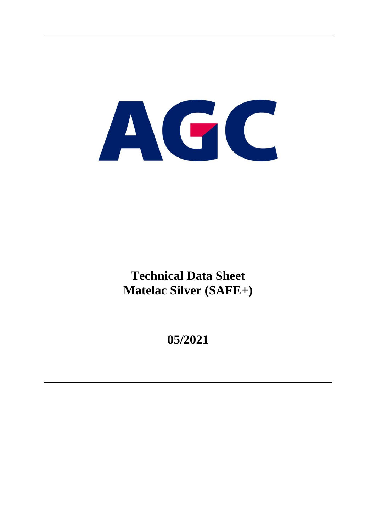# AGC

**Technical Data Sheet Matelac Silver (SAFE+)**

**05/2021**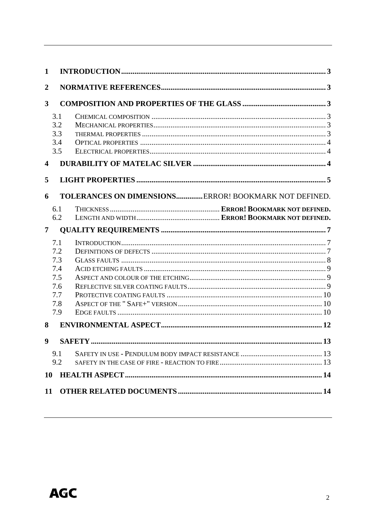| 1                       |            |                                                       |  |
|-------------------------|------------|-------------------------------------------------------|--|
| $\boldsymbol{2}$        |            |                                                       |  |
| 3                       |            |                                                       |  |
|                         | 3.1        |                                                       |  |
|                         | 3.2        |                                                       |  |
|                         | 3.3        |                                                       |  |
|                         | 3.4        |                                                       |  |
|                         | 3.5        |                                                       |  |
| $\overline{\mathbf{4}}$ |            |                                                       |  |
| 5                       |            |                                                       |  |
| 6                       |            | TOLERANCES ON DIMENSIONS ERROR! BOOKMARK NOT DEFINED. |  |
|                         | 6.1        |                                                       |  |
|                         | 6.2        |                                                       |  |
| $\overline{7}$          |            |                                                       |  |
|                         | 7.1        |                                                       |  |
|                         | 7.2        |                                                       |  |
|                         | 7.3        |                                                       |  |
|                         | 7.4        |                                                       |  |
|                         | 7.5        |                                                       |  |
|                         | 7.6        |                                                       |  |
|                         | 7.7        |                                                       |  |
|                         | 7.8<br>7.9 |                                                       |  |
|                         |            |                                                       |  |
| 8                       |            |                                                       |  |
| $\boldsymbol{9}$        |            |                                                       |  |
|                         | 9.1        |                                                       |  |
|                         | 9.2        |                                                       |  |
| <b>10</b>               |            |                                                       |  |
| 11                      |            |                                                       |  |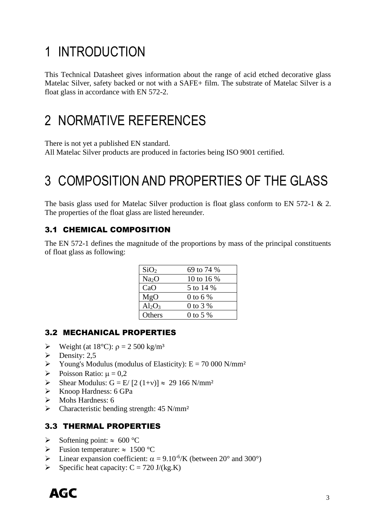# <span id="page-2-0"></span>1 INTRODUCTION

This Technical Datasheet gives information about the range of acid etched decorative glass Matelac Silver, safety backed or not with a SAFE+ film. The substrate of Matelac Silver is a float glass in accordance with EN 572-2.

### <span id="page-2-1"></span>2 NORMATIVE REFERENCES

There is not yet a published EN standard.

All Matelac Silver products are produced in factories being ISO 9001 certified.

# <span id="page-2-2"></span>3 COMPOSITION AND PROPERTIES OF THE GLASS

The basis glass used for Matelac Silver production is float glass conform to EN 572-1 & 2. The properties of the float glass are listed hereunder.

#### <span id="page-2-3"></span>3.1 CHEMICAL COMPOSITION

The EN 572-1 defines the magnitude of the proportions by mass of the principal constituents of float glass as following:

| SiO <sub>2</sub>  | 69 to 74 %  |
|-------------------|-------------|
| Na <sub>2</sub> O | 10 to 16 %  |
| CaO               | 5 to 14 %   |
| MgO               | 0 to 6 $\%$ |
| $Al_2O_3$         | 0 to 3 %    |
| Others            | 0 to 5 $%$  |

#### <span id="page-2-4"></span>3.2 MECHANICAL PROPERTIES

- $\triangleright$  Weight (at 18°C):  $\rho = 2500 \text{ kg/m}^3$
- $\triangleright$  Density: 2.5
- $\triangleright$  Young's Modulus (modulus of Elasticity): E = 70 000 N/mm<sup>2</sup>
- $\triangleright$  Poisson Ratio:  $\mu = 0.2$
- $\triangleright$  Shear Modulus: G = E/ [2 (1+v)]  $\approx$  29 166 N/mm<sup>2</sup>
- ➢ Knoop Hardness: 6 GPa
- ➢ Mohs Hardness: 6
- $\triangleright$  Characteristic bending strength: 45 N/mm<sup>2</sup>

#### <span id="page-2-5"></span>3.3 THERMAL PROPERTIES

- $\triangleright$  Softening point:  $\approx 600 \degree C$
- $\triangleright$  Fusion temperature:  $\approx 1500 \degree C$
- $\triangleright$  Linear expansion coefficient:  $\alpha = 9.10^{-6}$ /K (between 20° and 300°)
- $\triangleright$  Specific heat capacity: C = 720 J/(kg.K)

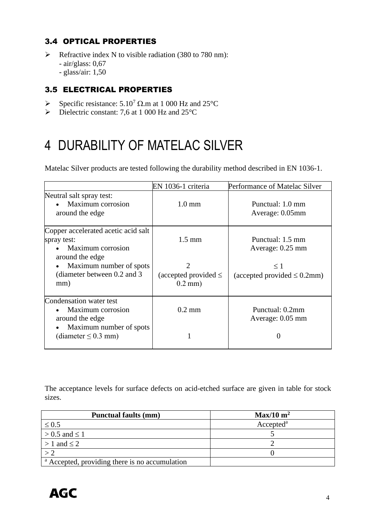#### <span id="page-3-0"></span>3.4 OPTICAL PROPERTIES

➢ Refractive index N to visible radiation (380 to 780 nm): - air/glass: 0,67 - glass/air: 1,50

#### <span id="page-3-1"></span>3.5 ELECTRICAL PROPERTIES

- $\triangleright$  Specific resistance: 5.10<sup>7</sup>  $\Omega$ .m at 1 000 Hz and 25°C
- $\triangleright$  Dielectric constant: 7,6 at 1 000 Hz and 25 $^{\circ}$ C

# <span id="page-3-2"></span>4 DURABILITY OF MATELAC SILVER

Matelac Silver products are tested following the durability method described in EN 1036-1.

|                                                                                            | EN 1036-1 criteria                                       | Performance of Matelac Silver                 |
|--------------------------------------------------------------------------------------------|----------------------------------------------------------|-----------------------------------------------|
| Neutral salt spray test:<br>Maximum corrosion<br>around the edge                           | $1.0 \text{ mm}$                                         | Punctual: 1.0 mm<br>Average: 0.05mm           |
| Copper accelerated acetic acid salt<br>spray test:<br>Maximum corrosion<br>around the edge | $1.5 \text{ mm}$                                         | Punctual: 1.5 mm<br>Average: 0.25 mm          |
| Maximum number of spots<br>$\bullet$<br>(diameter between 0.2 and 3)<br>mm)                | $\overline{2}$<br>(accepted provided $\leq$<br>$0.2$ mm) | $\leq 1$<br>(accepted provided $\leq 0.2$ mm) |
| Condensation water test<br>Maximum corrosion<br>around the edge                            | $0.2 \text{ mm}$                                         | Punctual: 0.2mm<br>Average: 0.05 mm           |
| Maximum number of spots<br>$\bullet$<br>(diameter $\leq$ 0.3 mm)                           |                                                          |                                               |

The acceptance levels for surface defects on acid-etched surface are given in table for stock sizes.

| <b>Punctual faults (mm)</b>                               | $Max/10 \text{ m}^2$  |
|-----------------------------------------------------------|-----------------------|
| $\leq 0.5$                                                | Accepted <sup>a</sup> |
| $> 0.5$ and $\leq 1$                                      |                       |
| $>1$ and $\leq 2$                                         |                       |
|                                                           |                       |
| <sup>a</sup> Accepted, providing there is no accumulation |                       |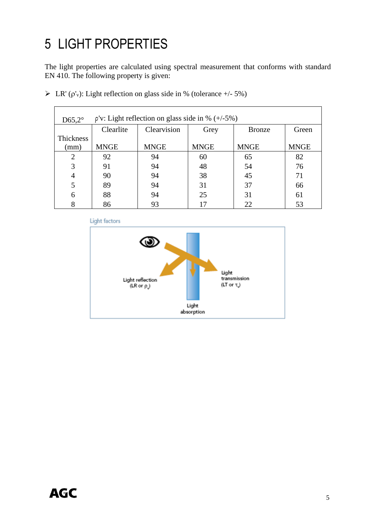# <span id="page-4-0"></span>5 LIGHT PROPERTIES

 $\mathbf{r}$ 

The light properties are calculated using spectral measurement that conforms with standard EN 410. The following property is given:

| D65,2 $^{\circ}$            | $\rho$ 'v: Light reflection on glass side in % $(+/-5%)$ |             |             |               |             |
|-----------------------------|----------------------------------------------------------|-------------|-------------|---------------|-------------|
|                             | Clearlite                                                | Clearvision | Grey        | <b>Bronze</b> | Green       |
| Thickness                   |                                                          |             |             |               |             |
| (mm)                        | <b>MNGE</b>                                              | <b>MNGE</b> | <b>MNGE</b> | <b>MNGE</b>   | <b>MNGE</b> |
| $\mathcal{D}_{\mathcal{L}}$ | 92                                                       | 94          | 60          | 65            | 82          |
| 3                           | 91                                                       | 94          | 48          | 54            | 76          |
| 4                           | 90                                                       | 94          | 38          | 45            | 71          |
|                             | 89                                                       | 94          | 31          | 37            | 66          |
| 6                           | 88                                                       | 94          | 25          | 31            | 61          |
|                             | 86                                                       | 93          | 17          | 22            | 53          |

|  |  |  |  |  | ER' ( $\rho$ ' <sub>v</sub> ): Light reflection on glass side in % (tolerance +/- 5%) |
|--|--|--|--|--|---------------------------------------------------------------------------------------|
|--|--|--|--|--|---------------------------------------------------------------------------------------|

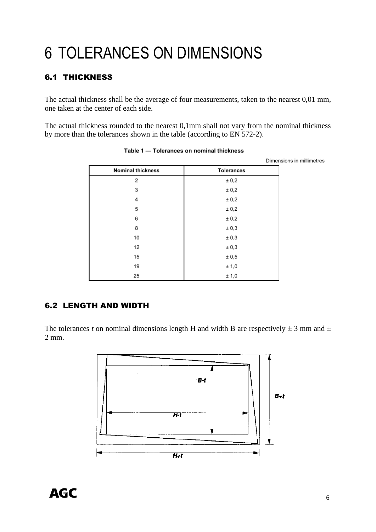# 6 TOLERANCES ON DIMENSIONS

#### 6.1 THICKNESS

The actual thickness shall be the average of four measurements, taken to the nearest 0,01 mm, one taken at the center of each side.

The actual thickness rounded to the nearest 0,1mm shall not vary from the nominal thickness by more than the tolerances shown in the table (according to EN 572-2).

|                          |                   | Dimensions in millimetres |
|--------------------------|-------------------|---------------------------|
| <b>Nominal thickness</b> | <b>Tolerances</b> |                           |
| 2                        | ± 0,2             |                           |
| 3                        | ± 0,2             |                           |
| 4                        | ± 0,2             |                           |
| 5                        | ± 0,2             |                           |
| 6                        | ± 0,2             |                           |
| 8                        | ± 0,3             |                           |
| 10                       | ± 0,3             |                           |
| 12                       | ± 0,3             |                           |
| 15                       | ± 0,5             |                           |
| 19                       | ± 1,0             |                           |
| 25                       | ± 1,0             |                           |

Table 1 - Tolerances on nominal thickness

#### 6.2 LENGTH AND WIDTH

The tolerances *t* on nominal dimensions length H and width B are respectively  $\pm$  3 mm and  $\pm$ 2 mm.

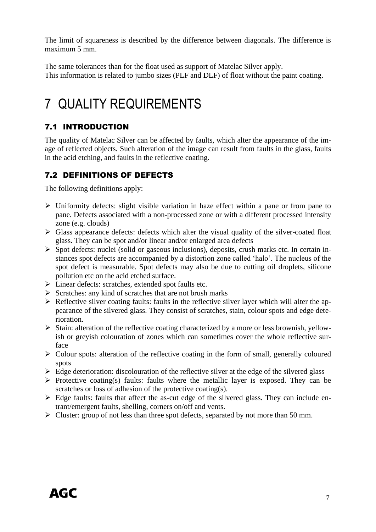The limit of squareness is described by the difference between diagonals. The difference is maximum 5 mm.

The same tolerances than for the float used as support of Matelac Silver apply. This information is related to jumbo sizes (PLF and DLF) of float without the paint coating.

# <span id="page-6-0"></span>7 QUALITY REQUIREMENTS

#### <span id="page-6-1"></span>7.1 INTRODUCTION

The quality of Matelac Silver can be affected by faults, which alter the appearance of the image of reflected objects. Such alteration of the image can result from faults in the glass, faults in the acid etching, and faults in the reflective coating.

#### <span id="page-6-2"></span>7.2 DEFINITIONS OF DEFECTS

The following definitions apply:

- ➢ Uniformity defects: slight visible variation in haze effect within a pane or from pane to pane. Defects associated with a non-processed zone or with a different processed intensity zone (e.g. clouds)
- $\triangleright$  Glass appearance defects: defects which alter the visual quality of the silver-coated float glass. They can be spot and/or linear and/or enlarged area defects
- ➢ Spot defects: nuclei (solid or gaseous inclusions), deposits, crush marks etc. In certain instances spot defects are accompanied by a distortion zone called 'halo'. The nucleus of the spot defect is measurable. Spot defects may also be due to cutting oil droplets, silicone pollution etc on the acid etched surface.
- ➢ Linear defects: scratches, extended spot faults etc.
- ➢ Scratches: any kind of scratches that are not brush marks
- $\triangleright$  Reflective silver coating faults: faults in the reflective silver layer which will alter the appearance of the silvered glass. They consist of scratches, stain, colour spots and edge deterioration.
- ➢ Stain: alteration of the reflective coating characterized by a more or less brownish, yellowish or greyish colouration of zones which can sometimes cover the whole reflective surface
- ➢ Colour spots: alteration of the reflective coating in the form of small, generally coloured spots
- $\triangleright$  Edge deterioration: discolouration of the reflective silver at the edge of the silvered glass
- ➢ Protective coating(s) faults: faults where the metallic layer is exposed. They can be scratches or loss of adhesion of the protective coating(s).
- $\triangleright$  Edge faults: faults that affect the as-cut edge of the silvered glass. They can include entrant/emergent faults, shelling, corners on/off and vents.
- ➢ Cluster: group of not less than three spot defects, separated by not more than 50 mm.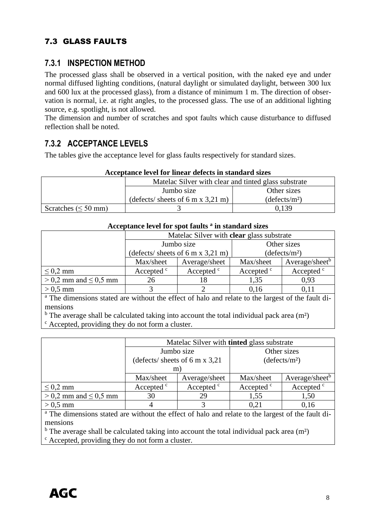#### <span id="page-7-0"></span>7.3 GLASS FAULTS

#### **7.3.1 INSPECTION METHOD**

The processed glass shall be observed in a vertical position, with the naked eye and under normal diffused lighting conditions, (natural daylight or simulated daylight, between 300 lux and 600 lux at the processed glass), from a distance of minimum 1 m. The direction of observation is normal, i.e. at right angles, to the processed glass. The use of an additional lighting source, e.g. spotlight, is not allowed.

The dimension and number of scratches and spot faults which cause disturbance to diffused reflection shall be noted.

#### **7.3.2 ACCEPTANCE LEVELS**

The tables give the acceptance level for glass faults respectively for standard sizes.

| Acceptance level for linear defects in standard sizes |                                                                     |                           |  |  |
|-------------------------------------------------------|---------------------------------------------------------------------|---------------------------|--|--|
|                                                       | Matelac Silver with clear and tinted glass substrate                |                           |  |  |
|                                                       | Jumbo size                                                          | Other sizes               |  |  |
|                                                       | $(\text{defects}/\text{ sheets of } 6 \text{ m x } 3,21 \text{ m})$ | (defects/m <sup>2</sup> ) |  |  |
| Scratches ( $\leq 50$ mm)                             |                                                                     | 0.139                     |  |  |

| Acceptance level for spot faults " in standard sizes |                                                  |                       |                           |                            |  |
|------------------------------------------------------|--------------------------------------------------|-----------------------|---------------------------|----------------------------|--|
|                                                      | Matelac Silver with <b>clear</b> glass substrate |                       |                           |                            |  |
|                                                      | Jumbo size                                       |                       | Other sizes               |                            |  |
|                                                      | (defects/ sheets of 6 m x 3,21 m)                |                       | (defects/m <sup>2</sup> ) |                            |  |
|                                                      | Max/sheet                                        | Average/sheet         | Max/sheet                 | Average/sheet <sup>b</sup> |  |
| $\leq$ 0.2 mm                                        | Accepted <sup>c</sup>                            | Accepted <sup>c</sup> | Accepted <sup>c</sup>     | Accepted <sup>c</sup>      |  |
| $> 0.2$ mm and $\leq 0.5$ mm                         | 26                                               |                       | 1,35                      | 0.93                       |  |
| $> 0.5$ mm                                           |                                                  |                       | 0.16                      | 0.11                       |  |

#### **Acceptance level for spot faults <sup>a</sup> in standard sizes**

<sup>a</sup> The dimensions stated are without the effect of halo and relate to the largest of the fault dimensions

 $<sup>b</sup>$  The average shall be calculated taking into account the total individual pack area (m<sup>2</sup>)</sup>

<sup>c</sup> Accepted, providing they do not form a cluster.

|                              |                                         |                       | Matelac Silver with <b>tinted</b> glass substrate |                            |  |
|------------------------------|-----------------------------------------|-----------------------|---------------------------------------------------|----------------------------|--|
|                              | Jumbo size                              |                       | Other sizes                                       |                            |  |
|                              | (defects/ sheets of 6 m x $3,21$ )<br>m |                       | (defects/m <sup>2</sup> )                         |                            |  |
|                              | Max/sheet                               | Average/sheet         | Max/sheet                                         | Average/sheet <sup>b</sup> |  |
| $\leq$ 0,2 mm                | Accepted <sup>c</sup>                   | Accepted <sup>c</sup> | Accepted <sup>c</sup>                             | Accepted <sup>c</sup>      |  |
| $> 0.2$ mm and $\leq 0.5$ mm | 30                                      | 29                    | 1,55                                              | 1,50                       |  |
| $> 0.5$ mm                   |                                         |                       | 0.21                                              | 0.16                       |  |

<sup>a</sup> The dimensions stated are without the effect of halo and relate to the largest of the fault dimensions

 $<sup>b</sup>$  The average shall be calculated taking into account the total individual pack area (m<sup>2</sup>)</sup>

<span id="page-7-1"></span><sup>c</sup> Accepted, providing they do not form a cluster.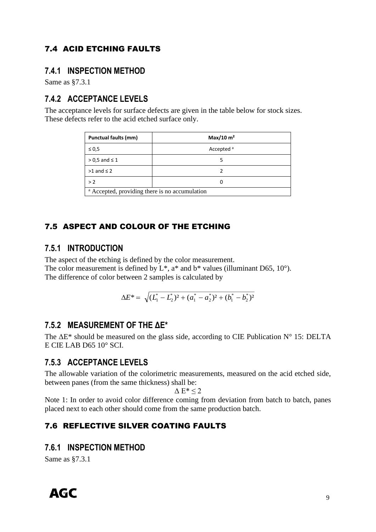#### 7.4 ACID ETCHING FAULTS

#### **7.4.1 INSPECTION METHOD**

Same as §7.3.1

#### **7.4.2 ACCEPTANCE LEVELS**

The acceptance levels for surface defects are given in the table below for stock sizes. These defects refer to the acid etched surface only.

| <b>Punctual faults (mm)</b>                               | Max/10 m <sup>2</sup> |  |  |
|-----------------------------------------------------------|-----------------------|--|--|
| $\leq 0.5$                                                | Accepted <sup>a</sup> |  |  |
| $> 0.5$ and $\leq 1$                                      |                       |  |  |
| $>1$ and $\leq 2$                                         |                       |  |  |
| > 2                                                       |                       |  |  |
| <sup>a</sup> Accepted, providing there is no accumulation |                       |  |  |

#### <span id="page-8-0"></span>7.5 ASPECT AND COLOUR OF THE ETCHING

#### **7.5.1 INTRODUCTION**

The aspect of the etching is defined by the color measurement. The color measurement is defined by  $L^*$ ,  $a^*$  and  $b^*$  values (illuminant D65, 10°). The difference of color between 2 samples is calculated by

$$
\Delta E^* = \sqrt{(L_1^* - L_2^*)^2 + (a_1^* - a_2^*)^2 + (b_1^* - b_2^*)^2}
$$

#### **7.5.2 MEASUREMENT OF THE ΔE\***

The  $\Delta E^*$  should be measured on the glass side, according to CIE Publication N° 15: DELTA E CIE LAB D65 10° SCI.

#### **7.5.3 ACCEPTANCE LEVELS**

The allowable variation of the colorimetric measurements, measured on the acid etched side, between panes (from the same thickness) shall be:

#### $\Delta E^*$  < 2

Note 1: In order to avoid color difference coming from deviation from batch to batch, panes placed next to each other should come from the same production batch.

#### <span id="page-8-1"></span>7.6 REFLECTIVE SILVER COATING FAULTS

#### **7.6.1 INSPECTION METHOD**

Same as §7.3.1

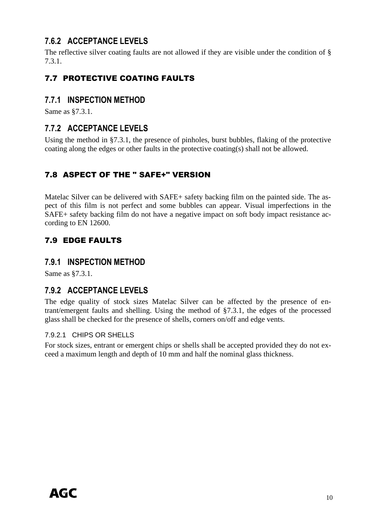#### **7.6.2 ACCEPTANCE LEVELS**

The reflective silver coating faults are not allowed if they are visible under the condition of § 7.3.1.

#### <span id="page-9-0"></span>7.7 PROTECTIVE COATING FAULTS

#### **7.7.1 INSPECTION METHOD**

Same as §7.3.1.

#### **7.7.2 ACCEPTANCE LEVELS**

Using the method in §7.3.1, the presence of pinholes, burst bubbles, flaking of the protective coating along the edges or other faults in the protective coating(s) shall not be allowed.

#### <span id="page-9-1"></span>7.8 ASPECT OF THE " SAFE+" VERSION

Matelac Silver can be delivered with SAFE+ safety backing film on the painted side. The aspect of this film is not perfect and some bubbles can appear. Visual imperfections in the SAFE+ safety backing film do not have a negative impact on soft body impact resistance according to EN 12600.

#### <span id="page-9-2"></span>7.9 EDGE FAULTS

#### **7.9.1 INSPECTION METHOD**

Same as §7.3.1.

#### **7.9.2 ACCEPTANCE LEVELS**

The edge quality of stock sizes Matelac Silver can be affected by the presence of entrant/emergent faults and shelling. Using the method of §7.3.1, the edges of the processed glass shall be checked for the presence of shells, corners on/off and edge vents.

#### 7.9.2.1 CHIPS OR SHELLS

For stock sizes, entrant or emergent chips or shells shall be accepted provided they do not exceed a maximum length and depth of 10 mm and half the nominal glass thickness.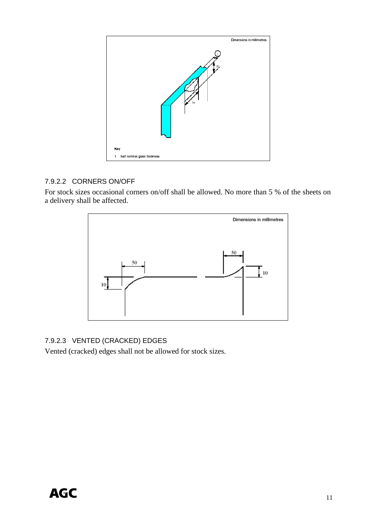

#### 7.9.2.2 CORNERS ON/OFF

For stock sizes occasional corners on/off shall be allowed. No more than 5 % of the sheets on a delivery shall be affected.



#### 7.9.2.3 VENTED (CRACKED) EDGES

<span id="page-10-0"></span>Vented (cracked) edges shall not be allowed for stock sizes.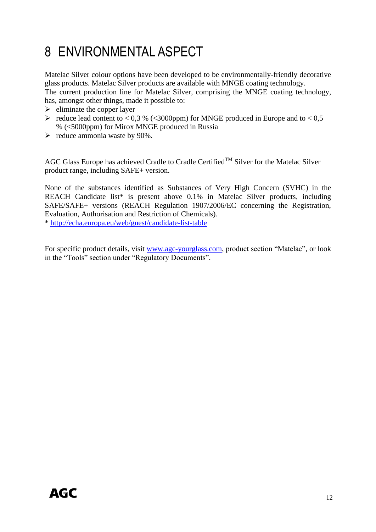# 8 ENVIRONMENTAL ASPECT

Matelac Silver colour options have been developed to be environmentally-friendly decorative glass products. Matelac Silver products are available with MNGE coating technology. The current production line for Matelac Silver, comprising the MNGE coating technology, has, amongst other things, made it possible to:

- $\triangleright$  eliminate the copper layer
- $\blacktriangleright$  reduce lead content to < 0,3 % (< 3000 ppm) for MNGE produced in Europe and to < 0,5 % (<5000ppm) for Mirox MNGE produced in Russia
- $\blacktriangleright$  reduce ammonia waste by 90%.

AGC Glass Europe has achieved Cradle to Cradle Certified<sup>TM</sup> Silver for the Matelac Silver product range, including SAFE+ version.

None of the substances identified as Substances of Very High Concern (SVHC) in the REACH Candidate list\* is present above 0.1% in Matelac Silver products, including SAFE/SAFE+ versions (REACH Regulation 1907/2006/EC concerning the Registration, Evaluation, Authorisation and Restriction of Chemicals).

\*<http://echa.europa.eu/web/guest/candidate-list-table>

<span id="page-11-0"></span>For specific product details, visit [www.agc-yourglass.com,](http://www.agc-yourglass.com/) product section "Matelac", or look in the "Tools" section under "Regulatory Documents".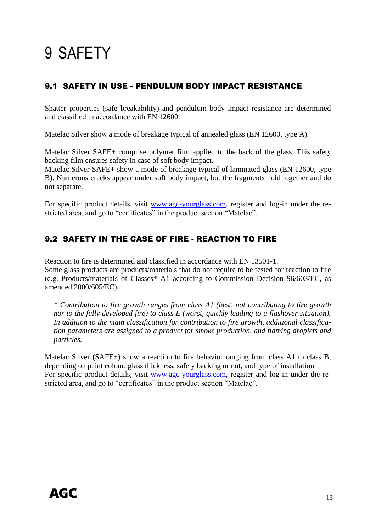# 9 SAFETY

#### <span id="page-12-0"></span>9.1 SAFETY IN USE - PENDULUM BODY IMPACT RESISTANCE

Shatter properties (safe breakability) and pendulum body impact resistance are determined and classified in accordance with EN 12600.

Matelac Silver show a mode of breakage typical of annealed glass (EN 12600, type A).

Matelac Silver SAFE+ comprise polymer film applied to the back of the glass. This safety backing film ensures safety in case of soft body impact.

Matelac Silver SAFE+ show a mode of breakage typical of laminated glass (EN 12600, type B). Numerous cracks appear under soft body impact, but the fragments hold together and do not separate.

For specific product details, visit [www.agc-yourglass.com,](http://www.agc-yourglass.com/) register and log-in under the restricted area, and go to "certificates" in the product section "Matelac".

#### <span id="page-12-1"></span>9.2 SAFETY IN THE CASE OF FIRE - REACTION TO FIRE

Reaction to fire is determined and classified in accordance with EN 13501-1.

Some glass products are products/materials that do not require to be tested for reaction to fire (e.g. Products/materials of Classes\* A1 according to Commission Decision 96/603/EC, as amended 2000/605/EC).

*\* Contribution to fire growth ranges from class A1 (best, not contributing to fire growth nor to the fully developed fire) to class E (worst, quickly leading to a flashover situation). In addition to the main classification for contribution to fire growth, additional classification parameters are assigned to a product for smoke production, and flaming droplets and particles.* 

<span id="page-12-2"></span>Matelac Silver (SAFE+) show a reaction to fire behavior ranging from class A1 to class B, depending on paint colour, glass thickness, safety backing or not, and type of installation. For specific product details, visit [www.agc-yourglass.com,](http://www.agc-yourglass.com/) register and log-in under the restricted area, and go to "certificates" in the product section "Matelac".